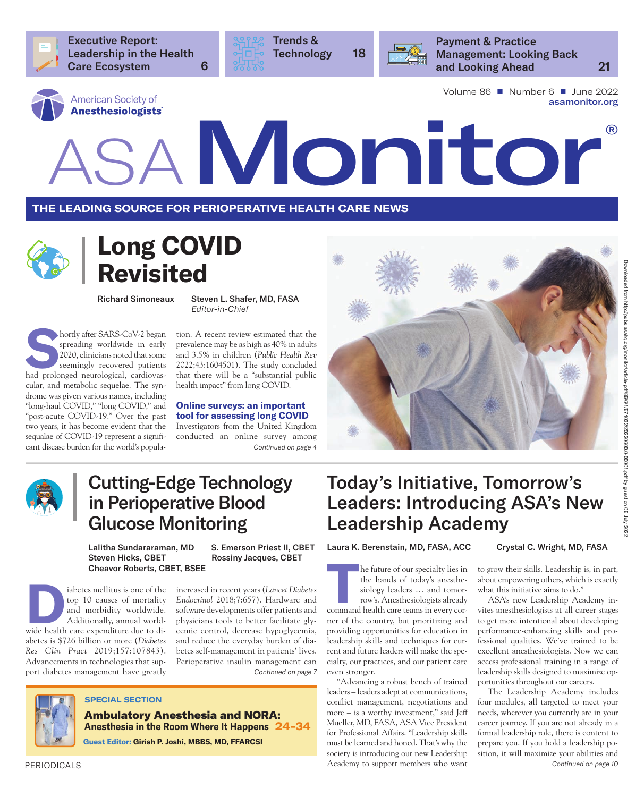

Executive Report: Leadership in the Health Care Ecosystem 6



Trends & Technology 18



Payment & Practice Management: Looking Back and Looking Ahead 21

Volume 86 ■ Number 6 ■ June 2022 [asamonitor.org](https://pubs.asahq.org/monitor)

# American Society of<br>Anesthesiologists<br>ASAMONIC COMPUTER OF

**The leading source for perioperative health care news**



## **Long COVID Revisited**

**Shortly after SARS-CoV-2 began spreading worldwide in early 2020, clinicians noted that some seemingly recovered patients had prolonged neurological, cardiovas**spreading worldwide in early 2020, clinicians noted that some seemingly recovered patients cular, and metabolic sequelae. The syndrome was given various names, including "long-haul COVID," "long COVID," and "post-acute COVID-19." Over the past two years, it has become evident that the sequalae of COVID-19 represent a significant disease burden for the world's popula- *Continued on page 4*

Richard Simoneaux Steven L. Shafer, MD, FASA *Editor-in-Chief*

> tion. A recent review estimated that the prevalence may be as high as 40% in adults and 3.5% in children (*[Public Health Rev](https://doi.org/10.3389/phrs.2022.1604501)* [2022;43:1604501](https://doi.org/10.3389/phrs.2022.1604501)). The study concluded that there will be a "substantial public health impact" from long COVID.

> **Online surveys: an important tool for assessing long COVID** Investigators from the United Kingdom

> conducted an online survey among





## Cutting-Edge Technology in Perioperative Blood Glucose Monitoring

Steven Hicks, CBET Rossiny Jacques, CBET Cheavor Roberts, CBET, BSEE

Lalitha Sundararaman, MD S. Emerson Priest II, CBET

abetes mellitus is one of the<br>
top 10 causes of mortality<br>
and morbidity worldwide.<br>
Additionally, annual world-<br>
wide health care expenditure due to ditop 10 causes of mortality and morbidity worldwide. Additionally, annual worldabetes is \$726 billion or more (*[Diabetes](https://doi.org/10.1016/j.diabres.2019.107843)* 

*Res Clin Pract* [2019;157:107843](https://doi.org/10.1016/j.diabres.2019.107843)). Advancements in technologies that support diabetes management have greatly *Continued on page 7*

increased in recent years (*[Lancet Diabetes](https://doi.org/10.1016/s2213-8587(19)30269-4) Endocrinol* [2018;7:657\)](https://doi.org/10.1016/s2213-8587(19)30269-4). Hardware and software developments offer patients and physicians tools to better facilitate glycemic control, decrease hypoglycemia, and reduce the everyday burden of diabetes self-management in patients' lives. Perioperative insulin management can

## Today's Initiative, Tomorrow's Leaders: Introducing ASA's New Leadership Academy

Laura K. Berenstain, MD, FASA, ACC Crystal C. Wright, MD, FASA

**THE FULL STRANGE IN THE FULL STRANGE IN THE FULL STRANGE ISOLOGY COMMAND COMMAND COMMAND COMMAND COMMAND COMMAND COMMAND COMMAND COMMAND COMMAND COMMAND COMMAND COMMAND COMMAND COMMAND COMMAND COMMAND COMMAND COMMAND COMM** the hands of today's anesthesiology leaders … and tomorrow's. Anesthesiologists already ner of the country, but prioritizing and providing opportunities for education in leadership skills and techniques for current and future leaders will make the specialty, our practices, and our patient care even stronger.

"Advancing a robust bench of trained leaders – leaders adept at communications, conflict management, negotiations and more – is a worthy investment," said Jeff Mueller, MD, FASA, ASA Vice President for Professional Affairs. "Leadership skills must be learned and honed. That's why the society is introducing our new Leadership Academy to support members who want *Continued on page 10*

to grow their skills. Leadership is, in part, about empowering others, which is exactly what this initiative aims to do."

ASA's new Leadership Academy invites anesthesiologists at all career stages to get more intentional about developing performance-enhancing skills and professional qualities. We've trained to be excellent anesthesiologists. Now we can access professional training in a range of leadership skills designed to maximize opportunities throughout our careers.

The Leadership Academy includes four modules, all targeted to meet your needs, wherever you currently are in your career journey. If you are not already in a formal leadership role, there is content to prepare you. If you hold a leadership position, it will maximize your abilities and

#### **SPECIAL SECTION**

Ambulatory Anesthesia and NORA: **Anesthesia in the Room Where It Happens 24-34 Guest Editor: Girish P. Joshi, MBBS, MD, FFARCSI**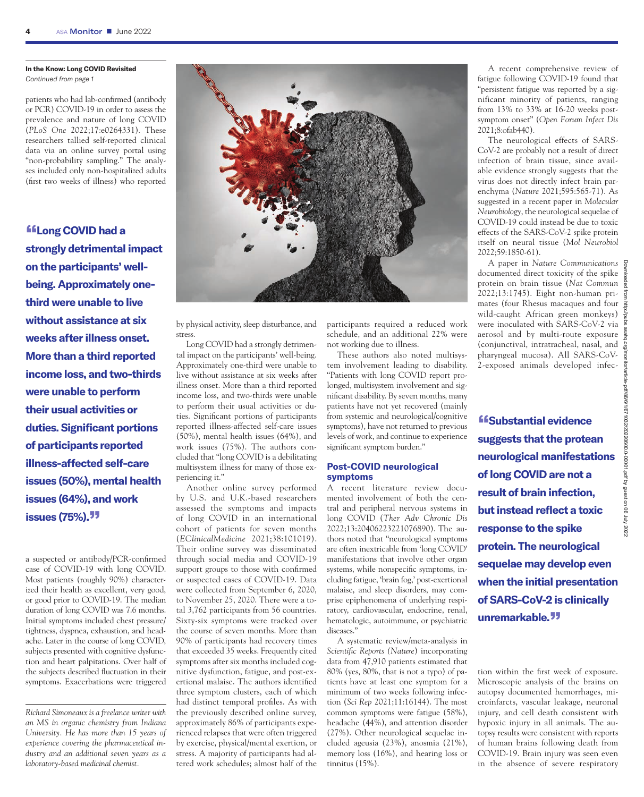#### **In the Know: Long COVID Revisited**  *Continued from page 1*

patients who had lab-confirmed (antibody or PCR) COVID-19 in order to assess the prevalence and nature of long COVID (*PLoS One* [2022;17:e0264331\)](https://doi.org/10.1371/journal.pone.0264331). These researchers tallied self-reported clinical data via an online survey portal using "non-probability sampling." The analyses included only non-hospitalized adults (first two weeks of illness) who reported

**"Long COVID had a strongly detrimental impact on the participants' wellbeing. Approximately onethird were unable to live without assistance at six weeks after illness onset. More than a third reported income loss, and two-thirds were unable to perform their usual activities or duties. Significant portions of participants reported illness-affected self-care issues (50%), mental health issues (64%), and work issues (75%)."**

a suspected or antibody/PCR-confirmed case of COVID-19 with long COVID. Most patients (roughly 90%) characterized their health as excellent, very good, or good prior to COVID-19. The median duration of long COVID was 7.6 months. Initial symptoms included chest pressure/ tightness, dyspnea, exhaustion, and headache. Later in the course of long COVID, subjects presented with cognitive dysfunction and heart palpitations. Over half of the subjects described fluctuation in their symptoms. Exacerbations were triggered

*Richard Simoneaux is a freelance writer with an MS in organic chemistry from Indiana University. He has more than 15 years of experience covering the pharmaceutical industry and an additional seven years as a laboratory-based medicinal chemist.*



by physical activity, sleep disturbance, and stress.

Long COVID had a strongly detrimental impact on the participants' well-being. Approximately one-third were unable to live without assistance at six weeks after illness onset. More than a third reported income loss, and two-thirds were unable to perform their usual activities or duties. Significant portions of participants reported illness-affected self-care issues (50%), mental health issues (64%), and work issues (75%). The authors concluded that "long COVID is a debilitating multisystem illness for many of those experiencing it."

Another online survey performed by U.S. and U.K.-based researchers assessed the symptoms and impacts of long COVID in an international cohort of patients for seven months (*[EClinicalMedicine](https://doi.org/10.1016/j.eclinm.2021.101019)* 2021;38:101019). Their online survey was disseminated through social media and COVID-19 support groups to those with confirmed or suspected cases of COVID-19. Data were collected from September 6, 2020, to November 25, 2020. There were a total 3,762 participants from 56 countries. Sixty-six symptoms were tracked over the course of seven months. More than 90% of participants had recovery times that exceeded 35 weeks. Frequently cited symptoms after six months included cognitive dysfunction, fatigue, and post-exertional malaise. The authors identified three symptom clusters, each of which had distinct temporal profiles. As with the previously described online survey, approximately 86% of participants experienced relapses that were often triggered by exercise, physical/mental exertion, or stress. A majority of participants had altered work schedules; almost half of the participants required a reduced work schedule, and an additional 22% were not working due to illness.

These authors also noted multisystem involvement leading to disability. "Patients with long COVID report prolonged, multisystem involvement and significant disability. By seven months, many patients have not yet recovered (mainly from systemic and neurological/cognitive symptoms), have not returned to previous levels of work, and continue to experience significant symptom burden."

#### **Post-COVID neurological symptoms**

A recent literature review documented involvement of both the central and peripheral nervous systems in long COVID (*[Ther Adv Chronic Dis](https://doi.org/10.1177/20406223221076890)* [2022;13:20406223221076890](https://doi.org/10.1177/20406223221076890)). The authors noted that "neurological symptoms are often inextricable from 'long COVID' manifestations that involve other organ systems, while nonspecific symptoms, including fatigue, 'brain fog,' post-exertional malaise, and sleep disorders, may comprise epiphenomena of underlying respiratory, cardiovascular, endocrine, renal, hematologic, autoimmune, or psychiatric diseases."

A systematic review/meta-analysis in *Scientific Reports (Nature*) incorporating data from 47,910 patients estimated that 80% (yes, 80%, that is not a typo) of patients have at least one symptom for a minimum of two weeks following infection (*Sci Rep* [2021;11:16144\)](https://doi.org/10.1038/s41598-021-95565-8). The most common symptoms were fatigue (58%), headache (44%), and attention disorder (27%). Other neurological sequelae included ageusia (23%), anosmia (21%), memory loss (16%), and hearing loss or tinnitus (15%).

A recent comprehensive review of fatigue following COVID-19 found that "persistent fatigue was reported by a significant minority of patients, ranging from 13% to 33% at 16-20 weeks postsymptom onset" (*[Open Forum Infect Dis](https://doi.org/10.1093/ofid/ofab440)* [2021;8:ofab440\)](https://doi.org/10.1093/ofid/ofab440).

The neurological effects of SARS-CoV-2 are probably not a result of direct infection of brain tissue, since available evidence strongly suggests that the virus does not directly infect brain parenchyma (*Nature* [2021;595:565-71](https://doi.org/10.1038/s41586-021-03710-0)). As suggested in a recent paper in *Molecular Neurobiology*, the neurological sequelae of COVID-19 could instead be due to toxic effects of the SARS-CoV-2 spike protein itself on neural tissue (*[Mol Neurobiol](https://doi.org/10.1007/s12035-021-02696-0)* [2022;59:1850-61\)](https://doi.org/10.1007/s12035-021-02696-0).

A paper in *Nature Communications* documented direct toxicity of the spike protein on brain tissue (*[Nat Commun](https://doi.org/10.1038/s41467-022-29440-z)* [2022;13:1745](https://doi.org/10.1038/s41467-022-29440-z)). Eight non-human primates (four Rhesus macaques and four wild-caught African green monkeys) were inoculated with SARS-CoV-2 via aerosol and by multi-route exposure (conjunctival, intratracheal, nasal, and pharyngeal mucosa). All SARS-CoV-2-exposed animals developed infec-

**"Substantial evidence suggests that the protean neurological manifestations of long COVID are not a result of brain infection, but instead reflect a toxic response to the spike protein. The neurological sequelae may develop even when the initial presentation of SARS-CoV-2 is clinically** 

tion within the first week of exposure. Microscopic analysis of the brains on autopsy documented hemorrhages, microinfarcts, vascular leakage, neuronal injury, and cell death consistent with hypoxic injury in all animals. The autopsy results were consistent with reports of human brains following death from COVID-19. Brain injury was seen even in the absence of severe respiratory

**unremarkable."**